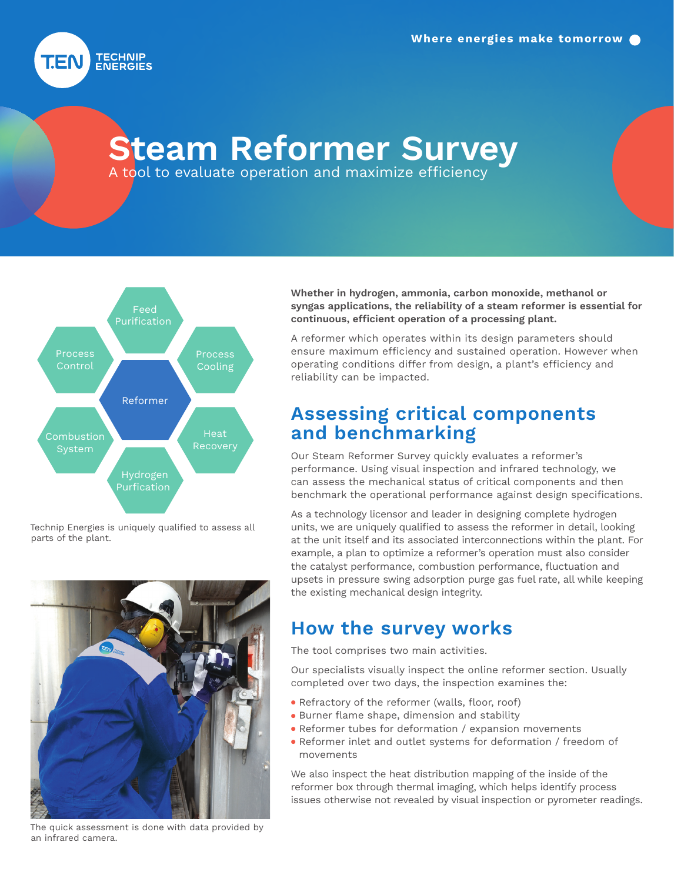# Steam Reformer Survey

A tool to evaluate operation and maximize efficiency



**TECHNIP<br>ENERGIES** 

Technip Energies is uniquely qualified to assess all parts of the plant.



Whether in hydrogen, ammonia, carbon monoxide, methanol or syngas applications, the reliability of a steam reformer is essential for continuous, efficient operation of a processing plant.

A reformer which operates within its design parameters should ensure maximum efficiency and sustained operation. However when operating conditions differ from design, a plant's efficiency and reliability can be impacted.

## Assessing critical components and benchmarking

Our Steam Reformer Survey quickly evaluates a reformer's performance. Using visual inspection and infrared technology, we can assess the mechanical status of critical components and then benchmark the operational performance against design specifications.

As a technology licensor and leader in designing complete hydrogen units, we are uniquely qualified to assess the reformer in detail, looking at the unit itself and its associated interconnections within the plant. For example, a plan to optimize a reformer's operation must also consider the catalyst performance, combustion performance, fluctuation and upsets in pressure swing adsorption purge gas fuel rate, all while keeping the existing mechanical design integrity.

# How the survey works

The tool comprises two main activities.

Our specialists visually inspect the online reformer section. Usually completed over two days, the inspection examines the:

- ⚫ Refractory of the reformer (walls, floor, roof)
- ⚫ Burner flame shape, dimension and stability
- ⚫ Reformer tubes for deformation / expansion movements
- ⚫ Reformer inlet and outlet systems for deformation / freedom of movements

We also inspect the heat distribution mapping of the inside of the reformer box through thermal imaging, which helps identify process issues otherwise not revealed by visual inspection or pyrometer readings.

The quick assessment is done with data provided by an infrared camera.